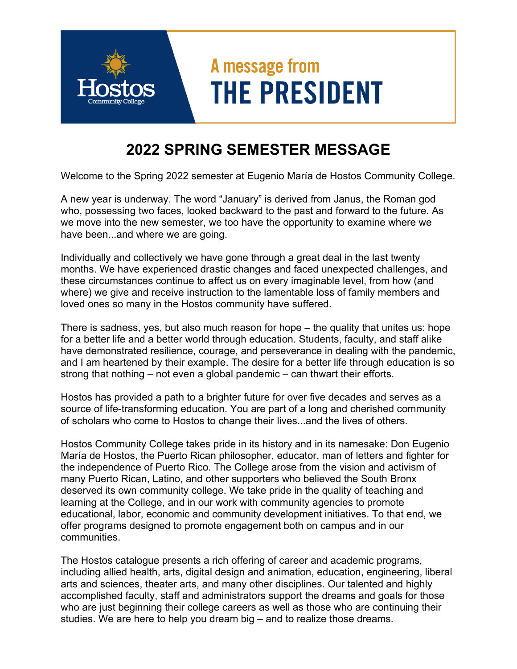## A message from **THE PRESIDENT**

## **2022 SPRING SEMESTER MESSAGE**

Welcome to the Spring 2022 semester at Eugenio María de Hostos Community College.

A new year is underway. The word "January" is derived from Janus, the Roman god who, possessing two faces, looked backward to the past and forward to the future. As we move into the new semester, we too have the opportunity to examine where we have been...and where we are going.

Individually and collectively we have gone through a great deal in the last twenty months. We have experienced drastic changes and faced unexpected challenges, and these circumstances continue to affect us on every imaginable level, from how (and where) we give and receive instruction to the lamentable loss of family members and loved ones so many in the Hostos community have suffered.

There is sadness, yes, but also much reason for hope – the quality that unites us: hope for a better life and a better world through education. Students, faculty, and staff alike have demonstrated resilience, courage, and perseverance in dealing with the pandemic, and I am heartened by their example. The desire for a better life through education is so strong that nothing – not even a global pandemic – can thwart their efforts.

Hostos has provided a path to a brighter future for over five decades and serves as a source of life-transforming education. You are part of a long and cherished community of scholars who come to Hostos to change their lives...and the lives of others.

Hostos Community College takes pride in its history and in its namesake: Don Eugenio María de Hostos, the Puerto Rican philosopher, educator, man of letters and fighter for the independence of Puerto Rico. The College arose from the vision and activism of many Puerto Rican, Latino, and other supporters who believed the South Bronx deserved its own community college. We take pride in the quality of teaching and learning at the College, and in our work with community agencies to promote educational, labor, economic and community development initiatives. To that end, we offer programs designed to promote engagement both on campus and in our communities.

The Hostos catalogue presents a rich offering of career and academic programs, including allied health, arts, digital design and animation, education, engineering, liberal arts and sciences, theater arts, and many other disciplines. Our talented and highly accomplished faculty, staff and administrators support the dreams and goals for those who are just beginning their college careers as well as those who are continuing their studies. We are here to help you dream big – and to realize those dreams.